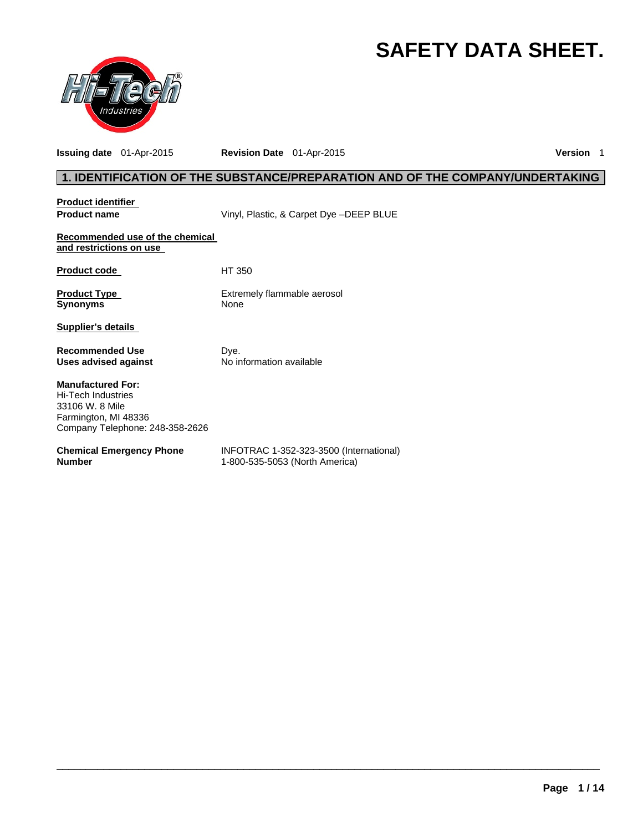# **SAFETY DATA SHEET.**



**Issuing date** 01-Apr-2015 **Revision Date** 01-Apr-2015 **Version** 1

# **1. IDENTIFICATION OF THE SUBSTANCE/PREPARATION AND OF THE COMPANY/UNDERTAKING**

| <b>Product identifier</b>                                                                                                    |                                         |
|------------------------------------------------------------------------------------------------------------------------------|-----------------------------------------|
| <b>Product name</b>                                                                                                          | Vinyl, Plastic, & Carpet Dye -DEEP BLUE |
| Recommended use of the chemical<br>and restrictions on use                                                                   |                                         |
| <b>Product code</b>                                                                                                          | HT 350                                  |
| <b>Product Type</b><br><b>Synonyms</b>                                                                                       | Extremely flammable aerosol<br>None     |
| Supplier's details                                                                                                           |                                         |
| <b>Recommended Use</b><br>Uses advised against                                                                               | Dye.<br>No information available        |
| <b>Manufactured For:</b><br>Hi-Tech Industries<br>33106 W. 8 Mile<br>Farmington, MI 48336<br>Company Telephone: 248-358-2626 |                                         |
|                                                                                                                              |                                         |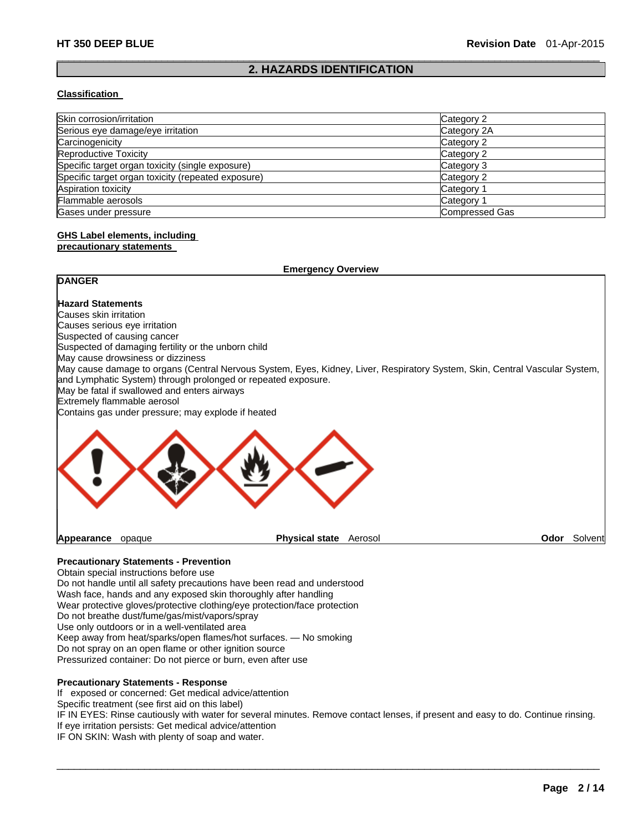### $\Box$ **2. HAZARDS IDENTIFICATION**

#### **Classification**

| Skin corrosion/irritation                          | Category 2            |  |
|----------------------------------------------------|-----------------------|--|
| Serious eye damage/eye irritation                  | Category 2A           |  |
| Carcinogenicity                                    | Category 2            |  |
| Reproductive Toxicity                              | Category 2            |  |
| Specific target organ toxicity (single exposure)   | Category 3            |  |
| Specific target organ toxicity (repeated exposure) | Category 2            |  |
| Aspiration toxicity                                | Category 1            |  |
| Flammable aerosols                                 | Category 1            |  |
| Gases under pressure                               | <b>Compressed Gas</b> |  |

# **GHS Label elements, including**

### **precautionary statements**

| <b>Emergency Overview</b>                                                                                                                                                                                                                                                                                                                                                                                            |                                                                                                                             |                 |
|----------------------------------------------------------------------------------------------------------------------------------------------------------------------------------------------------------------------------------------------------------------------------------------------------------------------------------------------------------------------------------------------------------------------|-----------------------------------------------------------------------------------------------------------------------------|-----------------|
| <b>DANGER</b>                                                                                                                                                                                                                                                                                                                                                                                                        |                                                                                                                             |                 |
| <b>Hazard Statements</b><br>Causes skin irritation<br>Causes serious eye irritation<br>Suspected of causing cancer<br>Suspected of damaging fertility or the unborn child<br>May cause drowsiness or dizziness<br>and Lymphatic System) through prolonged or repeated exposure.<br>May be fatal if swallowed and enters airways<br>Extremely flammable aerosol<br>Contains gas under pressure; may explode if heated | May cause damage to organs (Central Nervous System, Eyes, Kidney, Liver, Respiratory System, Skin, Central Vascular System, |                 |
|                                                                                                                                                                                                                                                                                                                                                                                                                      |                                                                                                                             |                 |
| Appearance<br>opaque                                                                                                                                                                                                                                                                                                                                                                                                 | <b>Physical state</b><br>Aerosol                                                                                            | Odor<br>Solvent |

### **Precautionary Statements - Prevention**

Obtain special instructions before use Do not handle until all safety precautions have been read and understood Wash face, hands and any exposed skin thoroughly after handling Wear protective gloves/protective clothing/eye protection/face protection Do not breathe dust/fume/gas/mist/vapors/spray Use only outdoors or in a well-ventilated area Keep away from heat/sparks/open flames/hot surfaces. — No smoking Do not spray on an open flame or other ignition source Pressurized container: Do not pierce or burn, even after use

# **Precautionary Statements - Response**

If exposed or concerned: Get medical advice/attention

Specific treatment (see first aid on this label)

IF IN EYES: Rinse cautiously with water for several minutes. Remove contact lenses, if present and easy to do. Continue rinsing. If eye irritation persists: Get medical advice/attention

 $\Box$ 

IF ON SKIN: Wash with plenty of soap and water.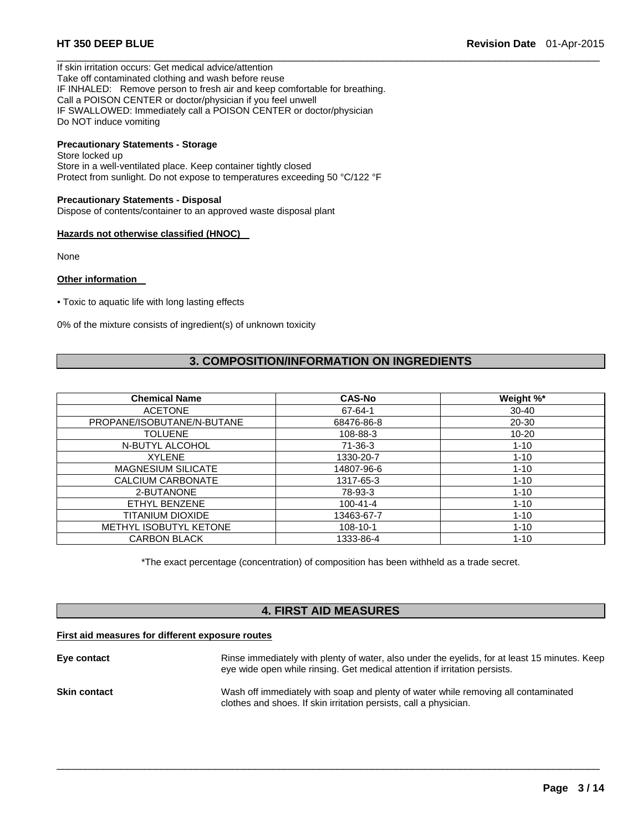If skin irritation occurs: Get medical advice/attention Take off contaminated clothing and wash before reuse IF INHALED: Remove person to fresh air and keep comfortable for breathing. Call a POISON CENTER or doctor/physician if you feel unwell IF SWALLOWED: Immediately call a POISON CENTER or doctor/physician Do NOT induce vomiting

# **Precautionary Statements - Storage**

Store locked up Store in a well-ventilated place. Keep container tightly closed Protect from sunlight. Do not expose to temperatures exceeding 50 °C/122 °F

#### **Precautionary Statements - Disposal**

Dispose of contents/container to an approved waste disposal plant

#### **Hazards not otherwise classified (HNOC)**

None

#### **Other information**

• Toxic to aquatic life with long lasting effects

0% of the mixture consists of ingredient(s) of unknown toxicity

# **3. COMPOSITION/INFORMATION ON INGREDIENTS**

 $\Box$ 

| <b>Chemical Name</b>       | <b>CAS-No</b>  | Weight %* |
|----------------------------|----------------|-----------|
| <b>ACETONE</b>             | 67-64-1        | $30 - 40$ |
| PROPANE/ISOBUTANE/N-BUTANE | 68476-86-8     | 20-30     |
| <b>TOLUENE</b>             | 108-88-3       | $10 - 20$ |
| N-BUTYL ALCOHOL            | 71-36-3        | $1 - 10$  |
| <b>XYLENE</b>              | 1330-20-7      | $1 - 10$  |
| <b>MAGNESIUM SILICATE</b>  | 14807-96-6     | $1 - 10$  |
| CALCIUM CARBONATE          | 1317-65-3      | $1 - 10$  |
| 2-BUTANONE                 | 78-93-3        | $1 - 10$  |
| ETHYL BENZENE              | $100 - 41 - 4$ | $1 - 10$  |
| TITANIUM DIOXIDE           | 13463-67-7     | $1 - 10$  |
| METHYL ISOBUTYL KETONE     | 108-10-1       | $1 - 10$  |
| <b>CARBON BLACK</b>        | 1333-86-4      | $1 - 10$  |

\*The exact percentage (concentration) of composition has been withheld as a trade secret.

# **4. FIRST AID MEASURES**

#### **First aid measures for different exposure routes**

| Eye contact         | Rinse immediately with plenty of water, also under the eyelids, for at least 15 minutes. Keep<br>eye wide open while rinsing. Get medical attention if irritation persists. |
|---------------------|-----------------------------------------------------------------------------------------------------------------------------------------------------------------------------|
| <b>Skin contact</b> | Wash off immediately with soap and plenty of water while removing all contaminated<br>clothes and shoes. If skin irritation persists, call a physician.                     |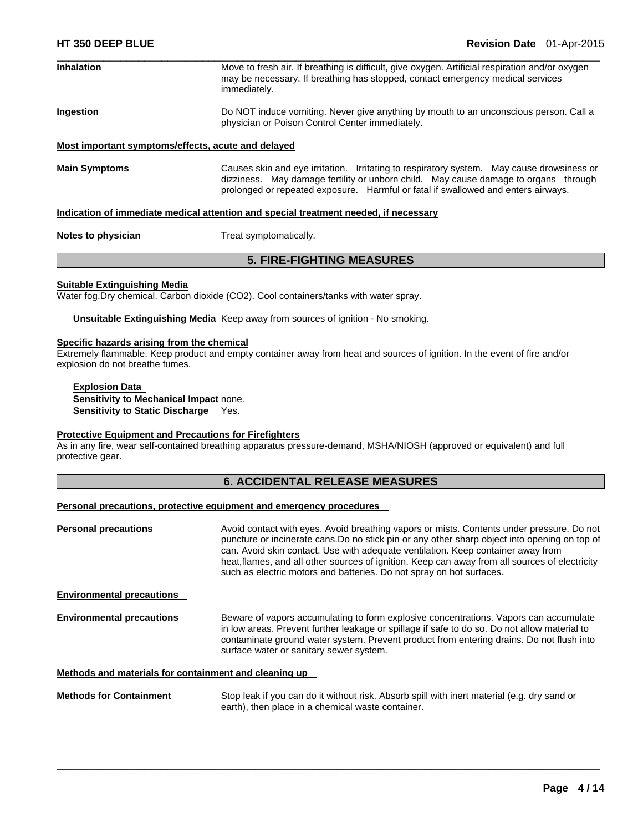| <b>Inhalation</b>    | Move to fresh air. If breathing is difficult, give oxygen. Artificial respiration and/or oxygen<br>may be necessary. If breathing has stopped, contact emergency medical services<br>immediately.                                                                     |
|----------------------|-----------------------------------------------------------------------------------------------------------------------------------------------------------------------------------------------------------------------------------------------------------------------|
| Ingestion            | Do NOT induce vomiting. Never give anything by mouth to an unconscious person. Call a<br>physician or Poison Control Center immediately.                                                                                                                              |
|                      | Most important symptoms/effects, acute and delayed                                                                                                                                                                                                                    |
| <b>Main Symptoms</b> | Causes skin and eye irritation. Irritating to respiratory system. May cause drowsiness or<br>dizziness. May damage fertility or unborn child. May cause damage to organs through<br>prolonged or repeated exposure. Harmful or fatal if swallowed and enters airways. |

#### **Indication of immediate medical attention and special treatment needed, if necessary**

**Notes to physician** Treat symptomatically.

### **5. FIRE-FIGHTING MEASURES**

#### **Suitable Extinguishing Media**

Water fog.Dry chemical. Carbon dioxide (CO2). Cool containers/tanks with water spray.

**Unsuitable Extinguishing Media** Keep away from sources of ignition - No smoking.

#### **Specific hazards arising from the chemical**

Extremely flammable. Keep product and empty container away from heat and sources of ignition. In the event of fire and/or explosion do not breathe fumes.

**Explosion Data Sensitivity to Mechanical Impact** none. **Sensitivity to Static Discharge** Yes.

#### **Protective Equipment and Precautions for Firefighters**

As in any fire, wear self-contained breathing apparatus pressure-demand, MSHA/NIOSH (approved or equivalent) and full protective gear.

# **6. ACCIDENTAL RELEASE MEASURES**

#### **Personal precautions, protective equipment and emergency procedures**

**Personal precautions Avoid contact with eyes. Avoid breathing vapors or mists. Contents under pressure. Do not** puncture or incinerate cans.Do no stick pin or any other sharp object into opening on top of can. Avoid skin contact. Use with adequate ventilation. Keep container away from heat,flames, and all other sources of ignition. Keep can away from all sources of electricity such as electric motors and batteries. Do not spray on hot surfaces. **Environmental precautions Environmental precautions** Beware of vapors accumulating to form explosive concentrations. Vapors can accumulate in low areas. Prevent further leakage or spillage if safe to do so. Do not allow material to contaminate ground water system. Prevent product from entering drains. Do not flush into surface water or sanitary sewer system. **Methods and materials for containment and cleaning up** 

**Methods for Containment** Stop leak if you can do it without risk. Absorb spill with inert material (e.g. dry sand or earth), then place in a chemical waste container.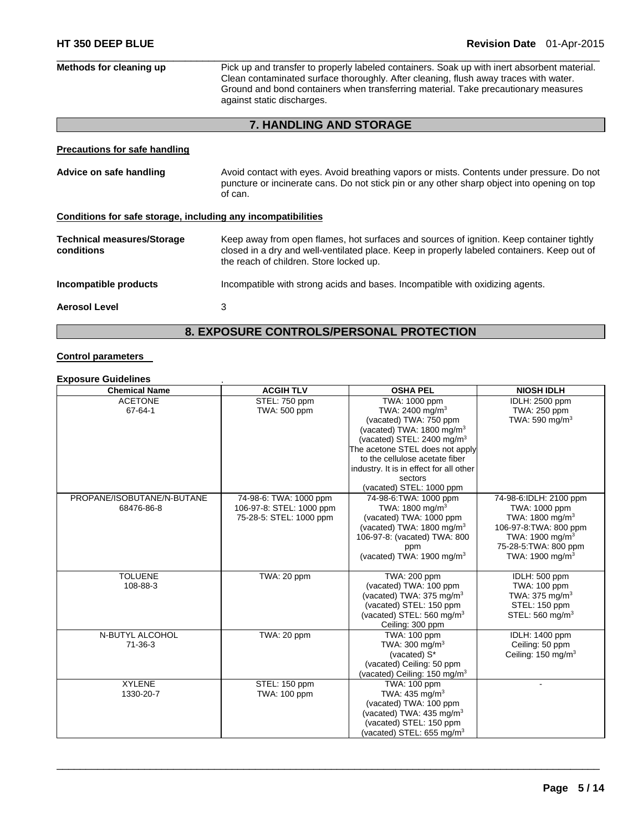| Methods for cleaning up                                      | Pick up and transfer to properly labeled containers. Soak up with inert absorbent material.<br>Clean contaminated surface thoroughly. After cleaning, flush away traces with water.<br>Ground and bond containers when transferring material. Take precautionary measures<br>against static discharges. |  |
|--------------------------------------------------------------|---------------------------------------------------------------------------------------------------------------------------------------------------------------------------------------------------------------------------------------------------------------------------------------------------------|--|
|                                                              | 7. HANDLING AND STORAGE                                                                                                                                                                                                                                                                                 |  |
| <b>Precautions for safe handling</b>                         |                                                                                                                                                                                                                                                                                                         |  |
| Advice on safe handling                                      | Avoid contact with eyes. Avoid breathing vapors or mists. Contents under pressure. Do not<br>puncture or incinerate cans. Do not stick pin or any other sharp object into opening on top<br>of can.                                                                                                     |  |
| Conditions for safe storage, including any incompatibilities |                                                                                                                                                                                                                                                                                                         |  |
| <b>Technical measures/Storage</b><br>conditions              | Keep away from open flames, hot surfaces and sources of ignition. Keep container tightly<br>closed in a dry and well-ventilated place. Keep in properly labeled containers. Keep out of<br>the reach of children. Store locked up.                                                                      |  |
| Incompatible products                                        | Incompatible with strong acids and bases. Incompatible with oxidizing agents.                                                                                                                                                                                                                           |  |
| <b>Aerosol Level</b>                                         | 3                                                                                                                                                                                                                                                                                                       |  |
| <b>8. EXPOSURE CONTROLS/PERSONAL PROTECTION</b>              |                                                                                                                                                                                                                                                                                                         |  |

# **Control parameters**

### **Exposure Guidelines** .

| <b>Chemical Name</b>       | <b>ACGIH TLV</b>         | <b>OSHA PEL</b>                         | <b>NIOSH IDLH</b>              |
|----------------------------|--------------------------|-----------------------------------------|--------------------------------|
| <b>ACETONE</b>             | STEL: 750 ppm            | TWA: 1000 ppm                           | IDLH: 2500 ppm                 |
| 67-64-1                    | TWA: 500 ppm             | TWA: 2400 mg/m <sup>3</sup>             | TWA: 250 ppm                   |
|                            |                          | (vacated) TWA: 750 ppm                  | TWA: 590 mg/m $3$              |
|                            |                          | (vacated) TWA: 1800 mg/m <sup>3</sup>   |                                |
|                            |                          | (vacated) STEL: 2400 mg/m <sup>3</sup>  |                                |
|                            |                          | The acetone STEL does not apply         |                                |
|                            |                          | to the cellulose acetate fiber          |                                |
|                            |                          | industry. It is in effect for all other |                                |
|                            |                          | sectors                                 |                                |
|                            |                          | (vacated) STEL: 1000 ppm                |                                |
| PROPANE/ISOBUTANE/N-BUTANE | 74-98-6: TWA: 1000 ppm   | 74-98-6: TWA: 1000 ppm                  | 74-98-6:IDLH: 2100 ppm         |
| 68476-86-8                 | 106-97-8: STEL: 1000 ppm | TWA: $1800 \text{ mg/m}^3$              | TWA: 1000 ppm                  |
|                            | 75-28-5: STEL: 1000 ppm  | (vacated) TWA: 1000 ppm                 | TWA: $1800 \text{ mg/m}^3$     |
|                            |                          | (vacated) TWA: $1800 \text{ mg/m}^3$    | 106-97-8: TWA: 800 ppm         |
|                            |                          | 106-97-8: (vacated) TWA: 800            | TWA: 1900 mg/m $3$             |
|                            |                          | ppm                                     | 75-28-5: TWA: 800 ppm          |
|                            |                          | (vacated) TWA: $1900 \text{ mg/m}^3$    | TWA: 1900 mg/m $3$             |
|                            |                          |                                         |                                |
| <b>TOLUENE</b>             | TWA: 20 ppm              | TWA: 200 ppm                            | IDLH: 500 ppm                  |
| 108-88-3                   |                          | (vacated) TWA: 100 ppm                  | TWA: 100 ppm                   |
|                            |                          | (vacated) TWA: 375 mg/m <sup>3</sup>    | TWA: 375 mg/m <sup>3</sup>     |
|                            |                          | (vacated) STEL: 150 ppm                 | STEL: 150 ppm                  |
|                            |                          | (vacated) STEL: 560 mg/m <sup>3</sup>   | STEL: 560 mg/m <sup>3</sup>    |
|                            |                          | Ceiling: 300 ppm                        |                                |
| N-BUTYL ALCOHOL            | TWA: 20 ppm              | TWA: 100 ppm                            | <b>IDLH: 1400 ppm</b>          |
| $71-36-3$                  |                          | TWA: $300 \text{ mg/m}^3$               | Ceiling: 50 ppm                |
|                            |                          | (vacated) S*                            | Ceiling: 150 mg/m <sup>3</sup> |
|                            |                          | (vacated) Ceiling: 50 ppm               |                                |
|                            |                          | (vacated) Ceiling: 150 mg/m $3$         |                                |
| <b>XYLENE</b>              | STEL: 150 ppm            | TWA: 100 ppm                            |                                |
| 1330-20-7                  | TWA: 100 ppm             | TWA: 435 mg/m <sup>3</sup>              |                                |
|                            |                          | (vacated) TWA: 100 ppm                  |                                |
|                            |                          | (vacated) TWA: $435 \text{ mg/m}^3$     |                                |
|                            |                          | (vacated) STEL: 150 ppm                 |                                |
|                            |                          | (vacated) STEL: $655 \text{ mg/m}^3$    |                                |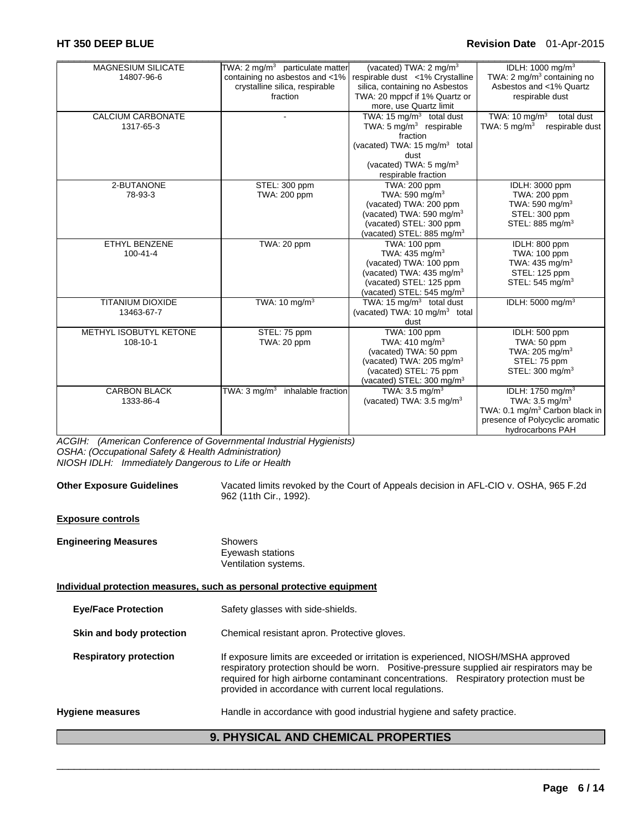# **HT 350 DEEP BLUE Revision Date** 01-Apr-2015

| <b>MAGNESIUM SILICATE</b><br>14807-96-6 | TWA: 2 $mg/m3$ particulate matter<br>containing no asbestos and <1%<br>crystalline silica, respirable<br>fraction | (vacated) TWA: 2 mg/m <sup>3</sup><br>respirable dust <1% Crystalline<br>silica, containing no Asbestos<br>TWA: 20 mppcf if 1% Quartz or<br>more, use Quartz limit                                      | IDLH: 1000 mg/m <sup>3</sup><br>TWA: 2 mg/m <sup>3</sup> containing no<br>Asbestos and <1% Quartz<br>respirable dust                                           |
|-----------------------------------------|-------------------------------------------------------------------------------------------------------------------|---------------------------------------------------------------------------------------------------------------------------------------------------------------------------------------------------------|----------------------------------------------------------------------------------------------------------------------------------------------------------------|
| CALCIUM CARBONATE<br>1317-65-3          |                                                                                                                   | TWA: 15 mg/m <sup>3</sup> total dust<br>TWA: $5 \text{ mg/m}^3$ respirable<br>fraction<br>(vacated) TWA: $15 \text{ mg/m}^3$ total<br>dust<br>(vacated) TWA: 5 mg/m <sup>3</sup><br>respirable fraction | TWA: $10 \text{ mg/m}^3$<br>total dust<br>TWA: $5 \text{ mg/m}^3$<br>respirable dust                                                                           |
| 2-BUTANONE<br>78-93-3                   | STEL: 300 ppm<br>TWA: 200 ppm                                                                                     | TWA: 200 ppm<br>TWA: 590 mg/m <sup>3</sup><br>(vacated) TWA: 200 ppm<br>(vacated) TWA: 590 mg/m <sup>3</sup><br>(vacated) STEL: 300 ppm<br>(vacated) STEL: 885 mg/m <sup>3</sup>                        | IDLH: 3000 ppm<br>TWA: 200 ppm<br>TWA: 590 mg/m <sup>3</sup><br>STEL: 300 ppm<br>STEL: 885 mg/m <sup>3</sup>                                                   |
| <b>ETHYL BENZENE</b><br>$100 - 41 - 4$  | TWA: 20 ppm                                                                                                       | TWA: 100 ppm<br>TWA: $435 \text{ mg/m}^3$<br>(vacated) TWA: 100 ppm<br>(vacated) TWA: 435 mg/m <sup>3</sup><br>(vacated) STEL: 125 ppm<br>(vacated) STEL: 545 mg/m <sup>3</sup>                         | IDLH: 800 ppm<br>TWA: 100 ppm<br>TWA: 435 mg/m <sup>3</sup><br>STEL: 125 ppm<br>STEL: $545 \text{ mg/m}^3$                                                     |
| <b>TITANIUM DIOXIDE</b><br>13463-67-7   | TWA: 10 $mq/m3$                                                                                                   | TWA: $15 \text{ mg/m}^3$ total dust<br>(vacated) TWA: 10 mg/m <sup>3</sup> total<br>dust                                                                                                                | IDLH: 5000 mg/m <sup>3</sup>                                                                                                                                   |
| METHYL ISOBUTYL KETONE<br>108-10-1      | STEL: 75 ppm<br>TWA: 20 ppm                                                                                       | <b>TWA: 100 ppm</b><br>TWA: $410 \text{ mg/m}^3$<br>(vacated) TWA: 50 ppm<br>(vacated) TWA: 205 mg/m <sup>3</sup><br>(vacated) STEL: 75 ppm<br>(vacated) STEL: 300 mg/m <sup>3</sup>                    | IDLH: 500 ppm<br>TWA: 50 ppm<br>TWA: $205 \text{ mg/m}^3$<br>STEL: 75 ppm<br>STEL: 300 mg/m <sup>3</sup>                                                       |
| <b>CARBON BLACK</b><br>1333-86-4        | TWA: $3 \text{ mg/m}^3$<br>inhalable fraction                                                                     | TWA: $3.5 \text{ ma/m}^3$<br>(vacated) TWA: $3.5 \text{ mg/m}^3$                                                                                                                                        | IDLH: 1750 mg/m <sup>3</sup><br>TWA: $3.5 \text{ mg/m}^3$<br>TWA: 0.1 mg/m <sup>3</sup> Carbon black in<br>presence of Polycyclic aromatic<br>hydrocarbons PAH |

*ACGIH: (American Conference of Governmental Industrial Hygienists) OSHA: (Occupational Safety & Health Administration) NIOSH IDLH: Immediately Dangerous to Life or Health* 

| <b>Other Exposure Guidelines</b>           | Vacated limits revoked by the Court of Appeals decision in AFL-CIO v. OSHA, 965 F.2d<br>962 (11th Cir., 1992).                                                                                                                                                                                                                    |  |
|--------------------------------------------|-----------------------------------------------------------------------------------------------------------------------------------------------------------------------------------------------------------------------------------------------------------------------------------------------------------------------------------|--|
| <b>Exposure controls</b>                   |                                                                                                                                                                                                                                                                                                                                   |  |
| <b>Engineering Measures</b>                | <b>Showers</b><br>Eyewash stations<br>Ventilation systems.                                                                                                                                                                                                                                                                        |  |
|                                            | Individual protection measures, such as personal protective equipment                                                                                                                                                                                                                                                             |  |
| <b>Eye/Face Protection</b>                 | Safety glasses with side-shields.                                                                                                                                                                                                                                                                                                 |  |
| Skin and body protection                   | Chemical resistant apron. Protective gloves.                                                                                                                                                                                                                                                                                      |  |
| <b>Respiratory protection</b>              | If exposure limits are exceeded or irritation is experienced, NIOSH/MSHA approved<br>respiratory protection should be worn.  Positive-pressure supplied air respirators may be<br>required for high airborne contaminant concentrations. Respiratory protection must be<br>provided in accordance with current local regulations. |  |
| Hygiene measures                           | Handle in accordance with good industrial hygiene and safety practice.                                                                                                                                                                                                                                                            |  |
| <b>9. PHYSICAL AND CHEMICAL PROPERTIES</b> |                                                                                                                                                                                                                                                                                                                                   |  |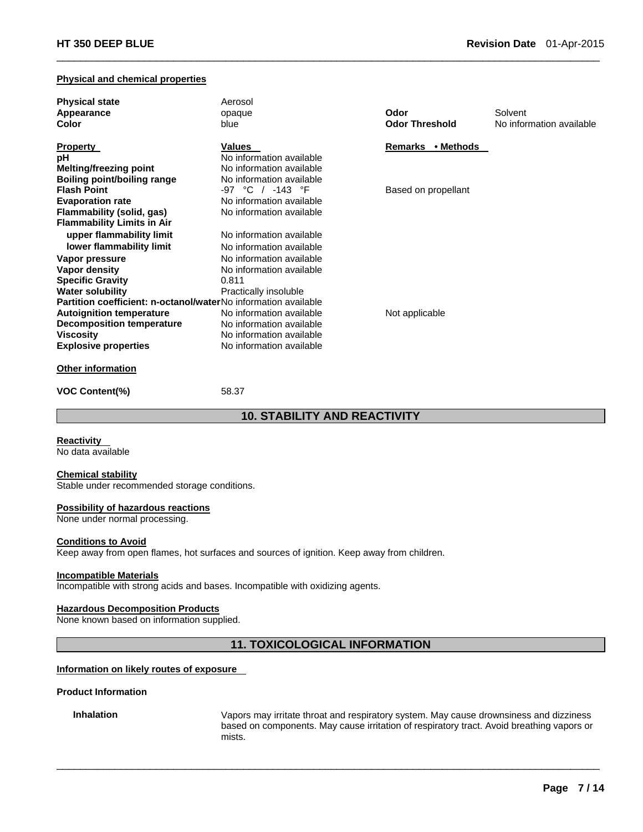#### **Physical and chemical properties**

| <b>Physical state</b>                                                 | Aerosol                  |                       |                          |
|-----------------------------------------------------------------------|--------------------------|-----------------------|--------------------------|
| Appearance                                                            | opaque                   | Odor                  | Solvent                  |
| Color                                                                 | blue                     | <b>Odor Threshold</b> | No information available |
| <b>Property</b>                                                       | <b>Values</b>            | Remarks • Methods     |                          |
| рH                                                                    | No information available |                       |                          |
| <b>Melting/freezing point</b>                                         | No information available |                       |                          |
| Boiling point/boiling range                                           | No information available |                       |                          |
| <b>Flash Point</b>                                                    | -97 °C / -143 °F         | Based on propellant   |                          |
| <b>Evaporation rate</b>                                               | No information available |                       |                          |
| Flammability (solid, gas)                                             | No information available |                       |                          |
| <b>Flammability Limits in Air</b>                                     |                          |                       |                          |
| upper flammability limit                                              | No information available |                       |                          |
| lower flammability limit                                              | No information available |                       |                          |
| Vapor pressure                                                        | No information available |                       |                          |
| Vapor density                                                         | No information available |                       |                          |
| <b>Specific Gravity</b>                                               | 0.811                    |                       |                          |
| <b>Water solubility</b>                                               | Practically insoluble    |                       |                          |
| <b>Partition coefficient: n-octanol/waterNo information available</b> |                          |                       |                          |
| <b>Autoignition temperature</b>                                       | No information available | Not applicable        |                          |
| <b>Decomposition temperature</b>                                      | No information available |                       |                          |
| <b>Viscosity</b>                                                      | No information available |                       |                          |
| <b>Explosive properties</b>                                           | No information available |                       |                          |
| <b>Other information</b>                                              |                          |                       |                          |

 $\Box$ 

**VOC Content(%)** 58.37

**10. STABILITY AND REACTIVITY** 

**Reactivity** 

No data available

#### **Chemical stability**

Stable under recommended storage conditions.

#### **Possibility of hazardous reactions**

None under normal processing.

### **Conditions to Avoid**

Keep away from open flames, hot surfaces and sources of ignition. Keep away from children.

#### **Incompatible Materials**

Incompatible with strong acids and bases. Incompatible with oxidizing agents.

#### **Hazardous Decomposition Products**

None known based on information supplied.

# **11. TOXICOLOGICAL INFORMATION**

 $\Box$ 

### **Information on likely routes of exposure**

#### **Product Information**

**Inhalation** Vapors may irritate throat and respiratory system. May cause drownsiness and dizziness based on components. May cause irritation of respiratory tract. Avoid breathing vapors or mists.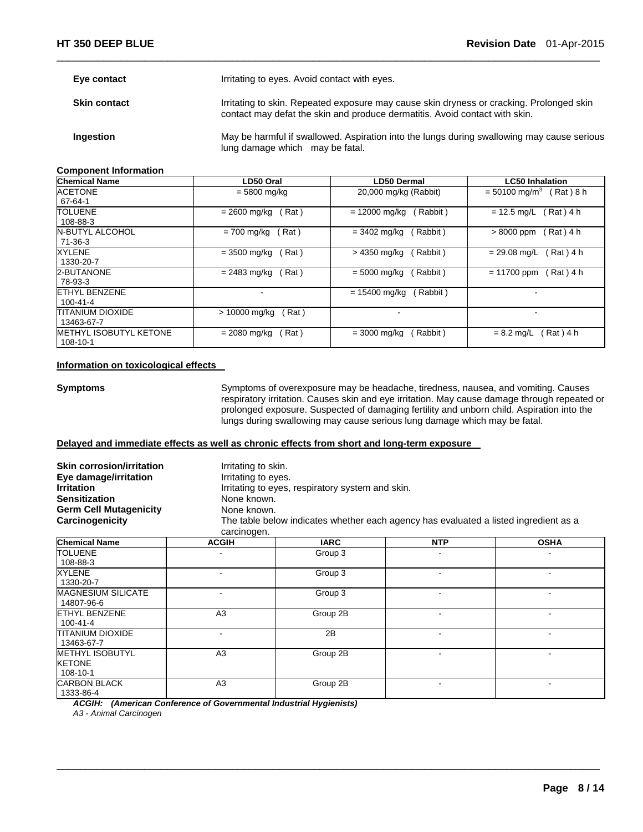| Eye contact         | Irritating to eyes. Avoid contact with eyes.                                                                                                                            |
|---------------------|-------------------------------------------------------------------------------------------------------------------------------------------------------------------------|
| <b>Skin contact</b> | Irritating to skin. Repeated exposure may cause skin dryness or cracking. Prolonged skin<br>contact may defat the skin and produce dermatitis. Avoid contact with skin. |
| Ingestion           | May be harmful if swallowed. Aspiration into the lungs during swallowing may cause serious<br>lung damage which may be fatal.                                           |

 $\Box$ 

#### **Component Information**

| <b>Chemical Name</b>                  | LD50 Oral             | LD50 Dermal                | <b>LC50 Inhalation</b>                   |
|---------------------------------------|-----------------------|----------------------------|------------------------------------------|
| <b>ACETONE</b><br>67-64-1             | = 5800 mg/kg          | 20,000 mg/kg (Rabbit)      | Rat ) 8 h<br>$= 50100$ mg/m <sup>3</sup> |
| <b>TOLUENE</b>                        | Rat)                  | $= 12000$ mg/kg            | (Rat) 4 h                                |
| 108-88-3                              | $= 2600$ mg/kg        | Rabbit)                    | $= 12.5$ mg/L                            |
| N-BUTYL ALCOHOL                       | Rat)                  | (Rabbit)                   | Rat) 4 h                                 |
| $71-36-3$                             | $= 700$ mg/kg         | $= 3402 \text{ mg/kg}$     | $>8000$ ppm                              |
| <b>XYLENE</b>                         | Rat)                  | (Rabbit)                   | Rat ) 4 h                                |
| 1330-20-7                             | $= 3500$ mg/kg        | > 4350 mg/kg               | $= 29.08$ mg/L                           |
| 2-BUTANONE                            | $= 2483$ mg/kg        | $= 5000$ mg/kg             | $= 11700$ ppm                            |
| 78-93-3                               | Rat)                  | (Rabbit)                   | Rat ) 4 h                                |
| ETHYL BENZENE<br>$100 - 41 - 4$       | -                     | $= 15400$ mg/kg<br>Rabbit) | $\overline{\phantom{a}}$                 |
| <b>TITANIUM DIOXIDE</b><br>13463-67-7 | > 10000 mg/kg<br>Rat) | $\overline{\phantom{0}}$   |                                          |
| <b>METHYL ISOBUTYL KETONE</b>         | (Rat)                 | (Rabbit)                   | Rat ) 4 h                                |
| 108-10-1                              | $= 2080$ mg/kg        | $= 3000$ mg/kg             | $= 8.2$ mg/L                             |

#### **Information on toxicological effects**

**Symptoms** Symptoms of overexposure may be headache, tiredness, nausea, and vomiting. Causes respiratory irritation. Causes skin and eye irritation. May cause damage through repeated or prolonged exposure. Suspected of damaging fertility and unborn child. Aspiration into the lungs during swallowing may cause serious lung damage which may be fatal.

#### **Delayed and immediate effects as well as chronic effects from short and long-term exposure**

| <b>Skin corrosion/irritation</b><br>Eye damage/irritation<br><b>Irritation</b><br><b>Sensitization</b><br><b>Germ Cell Mutagenicity</b><br>Carcinogenicity | Irritating to skin.<br>Irritating to eyes.<br>None known.<br>None known.<br>carcinogen. | Irritating to eyes, respiratory system and skin. | The table below indicates whether each agency has evaluated a listed ingredient as a |                          |
|------------------------------------------------------------------------------------------------------------------------------------------------------------|-----------------------------------------------------------------------------------------|--------------------------------------------------|--------------------------------------------------------------------------------------|--------------------------|
| <b>Chemical Name</b>                                                                                                                                       | <b>ACGIH</b>                                                                            | <b>IARC</b>                                      | <b>NTP</b>                                                                           | <b>OSHA</b>              |
| TOLUENE<br>108-88-3                                                                                                                                        |                                                                                         | Group 3                                          |                                                                                      |                          |
| XYLENE<br>1330-20-7                                                                                                                                        |                                                                                         | Group 3                                          |                                                                                      |                          |
| <b>MAGNESIUM SILICATE</b><br>14807-96-6                                                                                                                    |                                                                                         | Group 3                                          | $\qquad \qquad \blacksquare$                                                         |                          |
| <b>ETHYL BENZENE</b><br>100-41-4                                                                                                                           | A <sub>3</sub>                                                                          | Group 2B                                         | ۰                                                                                    | $\overline{\phantom{0}}$ |
| TITANIUM DIOXIDE<br>13463-67-7                                                                                                                             |                                                                                         | 2B                                               | ۰                                                                                    | $\overline{\phantom{a}}$ |
| <b>METHYL ISOBUTYL</b><br><b>KETONE</b><br>108-10-1                                                                                                        | A3                                                                                      | Group 2B                                         |                                                                                      |                          |
| <b>CARBON BLACK</b><br>1333-86-4                                                                                                                           | A <sub>3</sub>                                                                          | Group 2B                                         | $\overline{\phantom{a}}$                                                             | -                        |

 $\Box$ 

*ACGIH: (American Conference of Governmental Industrial Hygienists)* 

*A3 - Animal Carcinogen*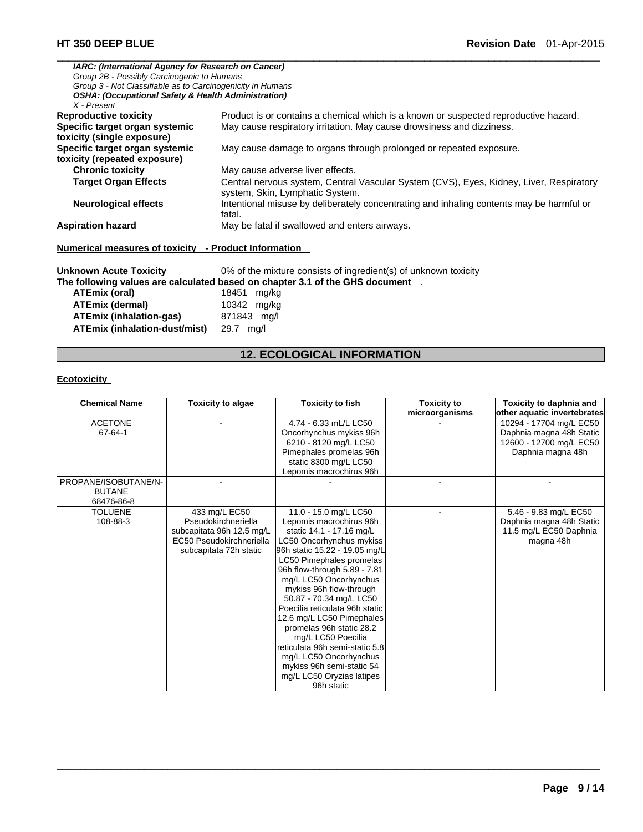| <b>IARC: (International Agency for Research on Cancer)</b>                    |                                                                                                                            |  |  |  |  |
|-------------------------------------------------------------------------------|----------------------------------------------------------------------------------------------------------------------------|--|--|--|--|
| Group 2B - Possibly Carcinogenic to Humans                                    |                                                                                                                            |  |  |  |  |
| Group 3 - Not Classifiable as to Carcinogenicity in Humans                    |                                                                                                                            |  |  |  |  |
| <b>OSHA: (Occupational Safety &amp; Health Administration)</b><br>X - Present |                                                                                                                            |  |  |  |  |
| <b>Reproductive toxicity</b>                                                  | Product is or contains a chemical which is a known or suspected reproductive hazard.                                       |  |  |  |  |
| Specific target organ systemic                                                | May cause respiratory irritation. May cause drowsiness and dizziness.                                                      |  |  |  |  |
| toxicity (single exposure)                                                    |                                                                                                                            |  |  |  |  |
| Specific target organ systemic                                                | May cause damage to organs through prolonged or repeated exposure.                                                         |  |  |  |  |
| toxicity (repeated exposure)                                                  |                                                                                                                            |  |  |  |  |
| <b>Chronic toxicity</b><br>May cause adverse liver effects.                   |                                                                                                                            |  |  |  |  |
| <b>Target Organ Effects</b>                                                   | Central nervous system, Central Vascular System (CVS), Eyes, Kidney, Liver, Respiratory<br>system, Skin, Lymphatic System. |  |  |  |  |
| <b>Neurological effects</b>                                                   | Intentional misuse by deliberately concentrating and inhaling contents may be harmful or<br>fatal.                         |  |  |  |  |
| <b>Aspiration hazard</b>                                                      | May be fatal if swallowed and enters airways.                                                                              |  |  |  |  |
| Numerical measures of toxicity - Product Information                          |                                                                                                                            |  |  |  |  |
| Unknown Acute Toxicity                                                        | 0% of the mixture consists of ingredient(s) of unknown toxicity                                                            |  |  |  |  |
|                                                                               | The following values are calculated based on chapter 3.1 of the GHS document .                                             |  |  |  |  |
| <b>ATEmix (oral)</b>                                                          | 18451<br>mg/kg                                                                                                             |  |  |  |  |
| <b>ATEmix (dermal)</b>                                                        | 10342 mg/kg                                                                                                                |  |  |  |  |
| <b>ATEmix (inhalation-gas)</b>                                                | 871843 mg/l                                                                                                                |  |  |  |  |

# **12. ECOLOGICAL INFORMATION**

# **Ecotoxicity**

**ATEmix (inhalation-dust/mist)** 29.7 mg/l

| <b>Chemical Name</b> | <b>Toxicity to algae</b>  | <b>Toxicity to fish</b>        | <b>Toxicity to</b> | Toxicity to daphnia and     |
|----------------------|---------------------------|--------------------------------|--------------------|-----------------------------|
|                      |                           |                                | microorganisms     | other aquatic invertebrates |
| <b>ACETONE</b>       |                           | 4.74 - 6.33 mL/L LC50          |                    | 10294 - 17704 mg/L EC50     |
| 67-64-1              |                           | Oncorhynchus mykiss 96h        |                    | Daphnia magna 48h Static    |
|                      |                           | 6210 - 8120 mg/L LC50          |                    | 12600 - 12700 mg/L EC50     |
|                      |                           | Pimephales promelas 96h        |                    | Daphnia magna 48h           |
|                      |                           | static 8300 mg/L LC50          |                    |                             |
|                      |                           | Lepomis macrochirus 96h        |                    |                             |
| PROPANE/ISOBUTANE/N- |                           |                                |                    |                             |
| <b>BUTANE</b>        |                           |                                |                    |                             |
| 68476-86-8           |                           |                                |                    |                             |
| <b>TOLUENE</b>       | 433 mg/L EC50             | 11.0 - 15.0 mg/L LC50          |                    | 5.46 - 9.83 mg/L EC50       |
| 108-88-3             | Pseudokirchneriella       | Lepomis macrochirus 96h        |                    | Daphnia magna 48h Static    |
|                      | subcapitata 96h 12.5 mg/L | static 14.1 - 17.16 mg/L       |                    | 11.5 mg/L EC50 Daphnia      |
|                      | EC50 Pseudokirchneriella  | LC50 Oncorhynchus mykiss       |                    | magna 48h                   |
|                      | subcapitata 72h static    | 96h static 15.22 - 19.05 mg/L  |                    |                             |
|                      |                           | LC50 Pimephales promelas       |                    |                             |
|                      |                           | 96h flow-through 5.89 - 7.81   |                    |                             |
|                      |                           | mg/L LC50 Oncorhynchus         |                    |                             |
|                      |                           | mykiss 96h flow-through        |                    |                             |
|                      |                           | 50.87 - 70.34 mg/L LC50        |                    |                             |
|                      |                           | Poecilia reticulata 96h static |                    |                             |
|                      |                           | 12.6 mg/L LC50 Pimephales      |                    |                             |
|                      |                           | promelas 96h static 28.2       |                    |                             |
|                      |                           | mg/L LC50 Poecilia             |                    |                             |
|                      |                           | reticulata 96h semi-static 5.8 |                    |                             |
|                      |                           | mg/L LC50 Oncorhynchus         |                    |                             |
|                      |                           | mykiss 96h semi-static 54      |                    |                             |
|                      |                           | mg/L LC50 Oryzias latipes      |                    |                             |
|                      |                           | 96h static                     |                    |                             |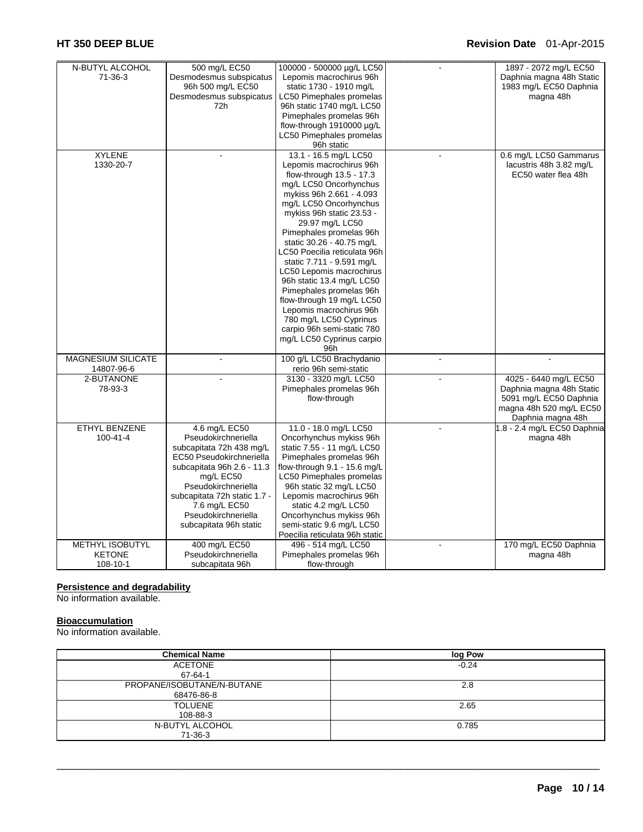| N-BUTYL ALCOHOL           | 500 mg/L EC50                | 100000 - 500000 µg/L LC50       |                | 1897 - 2072 mg/L EC50       |
|---------------------------|------------------------------|---------------------------------|----------------|-----------------------------|
| 71-36-3                   | Desmodesmus subspicatus      | Lepomis macrochirus 96h         |                | Daphnia magna 48h Static    |
|                           | 96h 500 mg/L EC50            | static 1730 - 1910 mg/L         |                | 1983 mg/L EC50 Daphnia      |
|                           | Desmodesmus subspicatus      | <b>LC50 Pimephales promelas</b> |                | magna 48h                   |
|                           | 72h                          | 96h static 1740 mg/L LC50       |                |                             |
|                           |                              | Pimephales promelas 96h         |                |                             |
|                           |                              | flow-through 1910000 µg/L       |                |                             |
|                           |                              | LC50 Pimephales promelas        |                |                             |
|                           |                              | 96h static                      |                |                             |
| <b>XYLENE</b>             |                              | 13.1 - 16.5 mg/L LC50           |                | 0.6 mg/L LC50 Gammarus      |
| 1330-20-7                 |                              | Lepomis macrochirus 96h         |                | lacustris 48h 3.82 mg/L     |
|                           |                              | flow-through 13.5 - 17.3        |                | EC50 water flea 48h         |
|                           |                              | mg/L LC50 Oncorhynchus          |                |                             |
|                           |                              | mykiss 96h 2.661 - 4.093        |                |                             |
|                           |                              | mg/L LC50 Oncorhynchus          |                |                             |
|                           |                              | mykiss 96h static 23.53 -       |                |                             |
|                           |                              | 29.97 mg/L LC50                 |                |                             |
|                           |                              | Pimephales promelas 96h         |                |                             |
|                           |                              | static 30.26 - 40.75 mg/L       |                |                             |
|                           |                              | LC50 Poecilia reticulata 96h    |                |                             |
|                           |                              | static 7.711 - 9.591 mg/L       |                |                             |
|                           |                              | LC50 Lepomis macrochirus        |                |                             |
|                           |                              | 96h static 13.4 mg/L LC50       |                |                             |
|                           |                              | Pimephales promelas 96h         |                |                             |
|                           |                              | flow-through 19 mg/L LC50       |                |                             |
|                           |                              | Lepomis macrochirus 96h         |                |                             |
|                           |                              | 780 mg/L LC50 Cyprinus          |                |                             |
|                           |                              | carpio 96h semi-static 780      |                |                             |
|                           |                              | mg/L LC50 Cyprinus carpio       |                |                             |
|                           |                              | 96h                             |                |                             |
| <b>MAGNESIUM SILICATE</b> |                              | 100 g/L LC50 Brachydanio        | $\blacksquare$ | $\ddot{\phantom{a}}$        |
| 14807-96-6                |                              | rerio 96h semi-static           |                |                             |
| 2-BUTANONE                |                              | 3130 - 3320 mg/L LC50           |                | 4025 - 6440 mg/L EC50       |
| 78-93-3                   |                              | Pimephales promelas 96h         |                | Daphnia magna 48h Static    |
|                           |                              | flow-through                    |                | 5091 mg/L EC50 Daphnia      |
|                           |                              |                                 |                | magna 48h 520 mg/L EC50     |
|                           |                              |                                 |                | Daphnia magna 48h           |
| <b>ETHYL BENZENE</b>      | 4.6 mg/L EC50                | 11.0 - 18.0 mg/L LC50           |                | 1.8 - 2.4 mg/L EC50 Daphnia |
| 100-41-4                  | Pseudokirchneriella          | Oncorhynchus mykiss 96h         |                | magna 48h                   |
|                           | subcapitata 72h 438 mg/L     | static 7.55 - 11 mg/L LC50      |                |                             |
|                           | EC50 Pseudokirchneriella     | Pimephales promelas 96h         |                |                             |
|                           | subcapitata 96h 2.6 - 11.3   | flow-through 9.1 - 15.6 mg/L    |                |                             |
|                           | mg/L EC50                    | LC50 Pimephales promelas        |                |                             |
|                           | Pseudokirchneriella          | 96h static 32 mg/L LC50         |                |                             |
|                           | subcapitata 72h static 1.7 - | Lepomis macrochirus 96h         |                |                             |
|                           | 7.6 mg/L EC50                | static 4.2 mg/L LC50            |                |                             |
|                           | Pseudokirchneriella          | Oncorhynchus mykiss 96h         |                |                             |
|                           | subcapitata 96h static       | semi-static 9.6 mg/L LC50       |                |                             |
|                           |                              | Poecilia reticulata 96h static  |                |                             |
| <b>METHYL ISOBUTYL</b>    | 400 mg/L EC50                | 496 - 514 mg/L LC50             |                | 170 mg/L EC50 Daphnia       |
| <b>KETONE</b>             | Pseudokirchneriella          | Pimephales promelas 96h         |                | magna 48h                   |
| 108-10-1                  | subcapitata 96h              | flow-through                    |                |                             |

#### **Persistence and degradability**

No information available.

#### **Bioaccumulation**

No information available.

| <b>Chemical Name</b>       | log Pow |
|----------------------------|---------|
| <b>ACETONE</b>             | $-0.24$ |
| 67-64-1                    |         |
| PROPANE/ISOBUTANE/N-BUTANE | 2.8     |
| 68476-86-8                 |         |
| <b>TOLUENE</b>             | 2.65    |
| 108-88-3                   |         |
| N-BUTYL ALCOHOL            | 0.785   |
| $71-36-3$                  |         |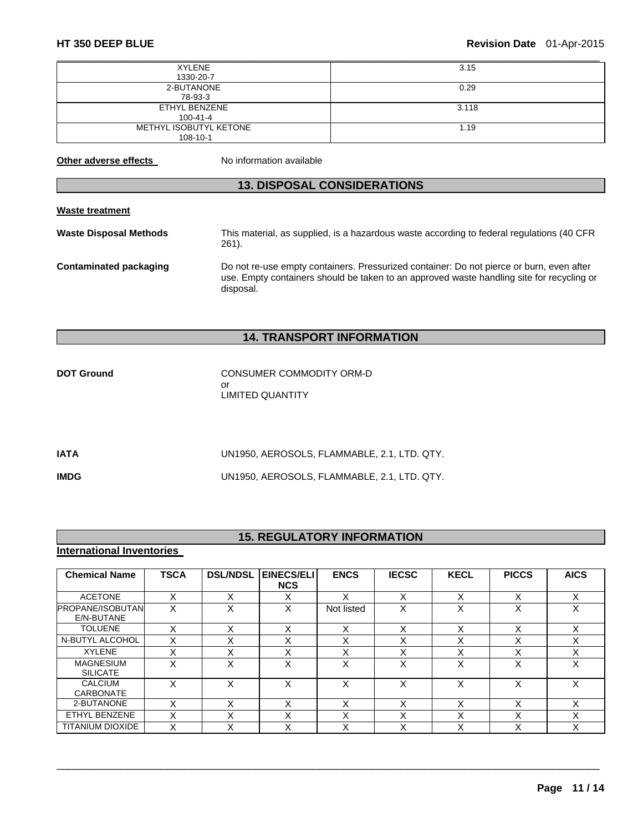| <b>XYLENE</b>          | 3.15  |
|------------------------|-------|
| 1330-20-7              |       |
| 2-BUTANONE             | 0.29  |
| 78-93-3                |       |
| ETHYL BENZENE          | 3.118 |
| $100 - 41 - 4$         |       |
| METHYL ISOBUTYL KETONE | 1.19  |
| 108-10-1               |       |

**Other adverse effects** No information available

# **13. DISPOSAL CONSIDERATIONS**

#### **Waste treatment**

**Waste Disposal Methods** This material, as supplied, is a hazardous waste according to federal regulations (40 CFR 261). **Contaminated packaging** Do not re-use empty containers. Pressurized container: Do not pierce or burn, even after use. Empty containers should be taken to an approved waste handling site for recycling or disposal.

# **14. TRANSPORT INFORMATION**

| <b>DOT Ground</b> | CONSUMER COMMODITY ORM-D |
|-------------------|--------------------------|
|                   | Ωr                       |
|                   | LIMITED QUANTITY         |

| IATA        | UN1950, AEROSOLS, FLAMMABLE, 2.1, LTD. QTY. |
|-------------|---------------------------------------------|
| <b>IMDG</b> | UN1950, AEROSOLS, FLAMMABLE, 2.1, LTD. QTY. |

# **15. REGULATORY INFORMATION**

# **International Inventories**

| <b>Chemical Name</b>                  | <b>TSCA</b> | <b>DSL/NDSL</b> | EINECS/ELI<br><b>NCS</b> | <b>ENCS</b>       | <b>IECSC</b> | <b>KECL</b> | <b>PICCS</b>      | <b>AICS</b> |
|---------------------------------------|-------------|-----------------|--------------------------|-------------------|--------------|-------------|-------------------|-------------|
| <b>ACETONE</b>                        | X           | X               | x                        | Χ                 | X            | X           | $\check{ }$<br>⌒  | X           |
| <b>PROPANE/ISOBUTAN</b><br>E/N-BUTANE | X           | X               | X                        | Not listed        | X            | X           | $\checkmark$<br>∧ | X           |
| <b>TOLUENE</b>                        | X           | X               | X                        | X                 | X            | X           | $\checkmark$<br>⋏ | X           |
| N-BUTYL ALCOHOL                       | v<br>⋏      | v               |                          | $\check{ }$<br>́  | Χ            | ∧           | v<br>́            |             |
| <b>XYLENE</b>                         | X           | v<br>⋏          | x                        | $\checkmark$<br>⋏ | Χ            | ⋏           | $\checkmark$<br>́ |             |
| <b>MAGNESIUM</b><br><b>SILICATE</b>   | x           | X               | x                        | x                 | x            | X           | X                 | x           |
| <b>CALCIUM</b><br><b>CARBONATE</b>    | x           | x               | x                        | x                 | x            | Χ           | x                 |             |
| 2-BUTANONE                            | x           | v               |                          | Χ                 | X            | х           | $\check{ }$<br>́  | Χ           |
| ETHYL BENZENE                         | X           | X               | X                        | $\check{ }$<br>⌒  | Χ            | v<br>⋏      | $\check{ }$<br>́  | x           |
| <b>TITANIUM DIOXIDE</b>               | v<br>⋏      | $\check{ }$     | $\check{ }$              | $\check{ }$<br>⌒  | $\checkmark$ |             | $\checkmark$<br>⌒ |             |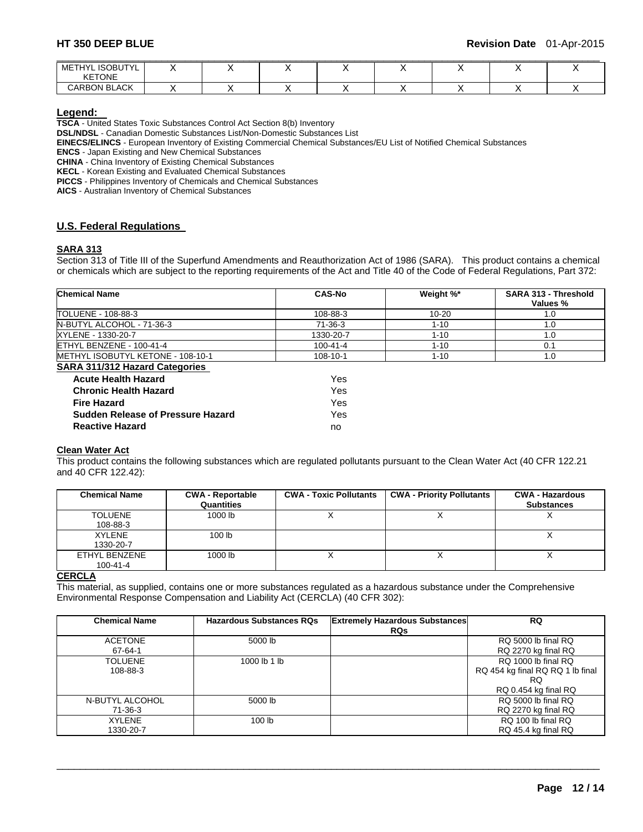| <b>ISOBUTYL</b><br>METHY'<br><u>.</u> |  |  |  |  |
|---------------------------------------|--|--|--|--|
| <b>KETONE</b>                         |  |  |  |  |
| <b>CARBON BLACK</b>                   |  |  |  |  |

**Legend: TSCA** - United States Toxic Substances Control Act Section 8(b) Inventory

**DSL/NDSL** - Canadian Domestic Substances List/Non-Domestic Substances List

**Sudden Release of Pressure Hazard** Yes **Reactive Hazard** no

**EINECS/ELINCS** - European Inventory of Existing Commercial Chemical Substances/EU List of Notified Chemical Substances

**ENCS** - Japan Existing and New Chemical Substances

**CHINA** - China Inventory of Existing Chemical Substances

**KECL** - Korean Existing and Evaluated Chemical Substances

**PICCS** - Philippines Inventory of Chemicals and Chemical Substances

**AICS** - Australian Inventory of Chemical Substances

### **U.S. Federal Regulations**

#### **SARA 313**

Section 313 of Title III of the Superfund Amendments and Reauthorization Act of 1986 (SARA). This product contains a chemical or chemicals which are subject to the reporting requirements of the Act and Title 40 of the Code of Federal Regulations, Part 372:

| <b>Chemical Name</b>                  | <b>CAS-No</b>  | Weight %* | SARA 313 - Threshold<br>Values % |
|---------------------------------------|----------------|-----------|----------------------------------|
| TOLUENE - 108-88-3                    | 108-88-3       | 10-20     | 1.0                              |
| N-BUTYL ALCOHOL - 71-36-3             | 71-36-3        | $1 - 10$  | 1.0                              |
| XYLENE - 1330-20-7                    | 1330-20-7      | $1 - 10$  | 1.0                              |
| ETHYL BENZENE - 100-41-4              | $100 - 41 - 4$ | $1 - 10$  | 0.1                              |
| METHYL ISOBUTYL KETONE - 108-10-1     | 108-10-1       | $1 - 10$  | 1.0                              |
| <b>SARA 311/312 Hazard Categories</b> |                |           |                                  |
| <b>Acute Health Hazard</b>            | Yes            |           |                                  |
| <b>Chronic Health Hazard</b>          | Yes            |           |                                  |
| <b>Fire Hazard</b>                    | Yes            |           |                                  |

### **Clean Water Act**

This product contains the following substances which are regulated pollutants pursuant to the Clean Water Act (40 CFR 122.21 and 40 CFR 122.42):

| <b>Chemical Name</b> | <b>CWA - Reportable</b><br>Quantities | <b>CWA - Toxic Pollutants</b> | <b>CWA - Priority Pollutants</b> | <b>CWA - Hazardous</b><br><b>Substances</b> |
|----------------------|---------------------------------------|-------------------------------|----------------------------------|---------------------------------------------|
|                      |                                       |                               |                                  |                                             |
| <b>TOLUENE</b>       | 1000 lb                               |                               |                                  |                                             |
| 108-88-3             |                                       |                               |                                  |                                             |
| <b>XYLENE</b>        | 100 <sub>1b</sub>                     |                               |                                  |                                             |
| 1330-20-7            |                                       |                               |                                  |                                             |
| ETHYL BENZENE        | 1000 lb                               |                               |                                  |                                             |
| $100 - 41 - 4$       |                                       |                               |                                  |                                             |

#### **CERCLA**

This material, as supplied, contains one or more substances regulated as a hazardous substance under the Comprehensive Environmental Response Compensation and Liability Act (CERCLA) (40 CFR 302):

| <b>Chemical Name</b> | <b>Hazardous Substances RQs</b> | <b>Extremely Hazardous Substances</b> | RQ                               |
|----------------------|---------------------------------|---------------------------------------|----------------------------------|
|                      |                                 | <b>RQs</b>                            |                                  |
| <b>ACETONE</b>       | 5000 lb                         |                                       | RQ 5000 lb final RQ              |
| 67-64-1              |                                 |                                       | RQ 2270 kg final RQ              |
| <b>TOLUENE</b>       | 1000 lb 1 lb                    |                                       | RQ 1000 lb final RQ              |
| 108-88-3             |                                 |                                       | RQ 454 kg final RQ RQ 1 lb final |
|                      |                                 |                                       | RQ                               |
|                      |                                 |                                       | RQ 0.454 kg final RQ             |
| N-BUTYL ALCOHOL      | 5000 lb                         |                                       | RQ 5000 lb final RQ              |
| 71-36-3              |                                 |                                       | RQ 2270 kg final RQ              |
| <b>XYLENE</b>        | 100 <sub>lb</sub>               |                                       | RQ 100 lb final RQ               |
| 1330-20-7            |                                 |                                       | RQ 45.4 kg final RQ              |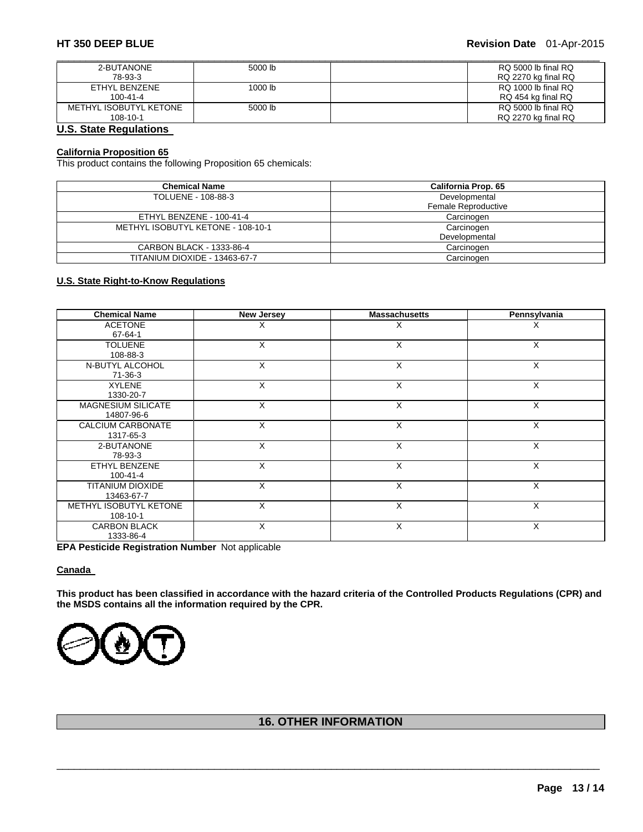| 2-BUTANONE             | 5000 lb | RQ 5000 lb final RQ |
|------------------------|---------|---------------------|
| 78-93-3                |         | RQ 2270 kg final RQ |
| ETHYL BENZENE          | 1000 lb | RQ 1000 lb final RQ |
| $100 - 41 - 4$         |         | RQ 454 kg final RQ  |
| METHYL ISOBUTYL KETONE | 5000 lb | RQ 5000 lb final RQ |
| $108 - 10 - 1$         |         | RQ 2270 kg final RQ |

# **U.S. State Regulations**

### **California Proposition 65**

This product contains the following Proposition 65 chemicals:

| <b>Chemical Name</b>              | California Prop. 65 |  |
|-----------------------------------|---------------------|--|
| TOLUENE - 108-88-3                | Developmental       |  |
|                                   | Female Reproductive |  |
| ETHYL BENZENE - 100-41-4          | Carcinogen          |  |
| METHYL ISOBUTYL KETONE - 108-10-1 | Carcinogen          |  |
|                                   | Developmental       |  |
| CARBON BLACK - 1333-86-4          | Carcinogen          |  |
| TITANIUM DIOXIDE - 13463-67-7     | Carcinogen          |  |

### **U.S. State Right-to-Know Regulations**

| <b>Chemical Name</b>      | New Jersey | <b>Massachusetts</b> | Pennsylvania |
|---------------------------|------------|----------------------|--------------|
| <b>ACETONE</b>            | X          | Х                    | х            |
| 67-64-1                   |            |                      |              |
| <b>TOLUENE</b>            | X          | X                    | X            |
| 108-88-3                  |            |                      |              |
| N-BUTYL ALCOHOL           | X          | X                    | X            |
| 71-36-3                   |            |                      |              |
| <b>XYLENE</b>             | X          | X                    | X            |
| 1330-20-7                 |            |                      |              |
| <b>MAGNESIUM SILICATE</b> | X          | X                    | X            |
| 14807-96-6                |            |                      |              |
| CALCIUM CARBONATE         | X          | X                    | X            |
| 1317-65-3                 |            |                      |              |
| 2-BUTANONE                | X          | X                    | X            |
| 78-93-3                   |            |                      |              |
| <b>ETHYL BENZENE</b>      | X          | X                    | X            |
| $100 - 41 - 4$            |            |                      |              |
| <b>TITANIUM DIOXIDE</b>   | X          | X                    | X            |
| 13463-67-7                |            |                      |              |
| METHYL ISOBUTYL KETONE    | X          | X                    | X            |
| 108-10-1                  |            |                      |              |
| <b>CARBON BLACK</b>       | X          | X                    | X            |
| 1333-86-4                 |            |                      |              |

**EPA Pesticide Registration Number** Not applicable

### **Canada**

**This product has been classified in accordance with the hazard criteria of the Controlled Products Regulations (CPR) and the MSDS contains all the information required by the CPR.** 



# **16. OTHER INFORMATION**